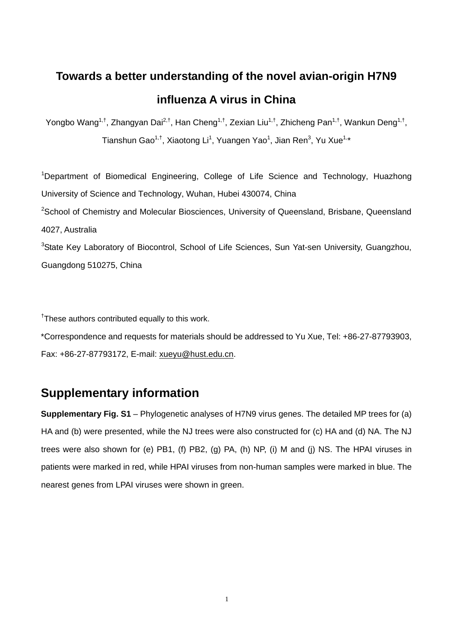#### **Towards a better understanding of the novel avian-origin H7N9 influenza A virus in China**

Yongbo Wang<sup>1,†</sup>, Zhangyan Dai<sup>2,†</sup>, Han Cheng<sup>1,†</sup>, Zexian Liu<sup>1,†</sup>, Zhicheng Pan<sup>1,†</sup>, Wankun Deng<sup>1,†</sup>, Tianshun Gao<sup>1,†</sup>, Xiaotong Li<sup>1</sup>, Yuangen Yao<sup>1</sup>, Jian Ren<sup>3</sup>, Yu Xue<sup>1,\*</sup>

<sup>1</sup>Department of Biomedical Engineering, College of Life Science and Technology, Huazhong University of Science and Technology, Wuhan, Hubei 430074, China <sup>2</sup>School of Chemistry and Molecular Biosciences, University of Queensland, Brisbane, Queensland 4027, Australia <sup>3</sup>State Key Laboratory of Biocontrol, School of Life Sciences, Sun Yat-sen University, Guangzhou, Guangdong 510275, China

<sup>†</sup>These authors contributed equally to this work.

\*Correspondence and requests for materials should be addressed to Yu Xue, Tel: +86-27-87793903, Fax: +86-27-87793172, E-mail: xueyu@hust.edu.cn.

#### **Supplementary information**

**Supplementary Fig. S1** – Phylogenetic analyses of H7N9 virus genes. The detailed MP trees for (a) HA and (b) were presented, while the NJ trees were also constructed for (c) HA and (d) NA. The NJ trees were also shown for (e) PB1, (f) PB2, (g) PA, (h) NP, (i) M and (j) NS. The HPAI viruses in patients were marked in red, while HPAI viruses from non-human samples were marked in blue. The nearest genes from LPAI viruses were shown in green.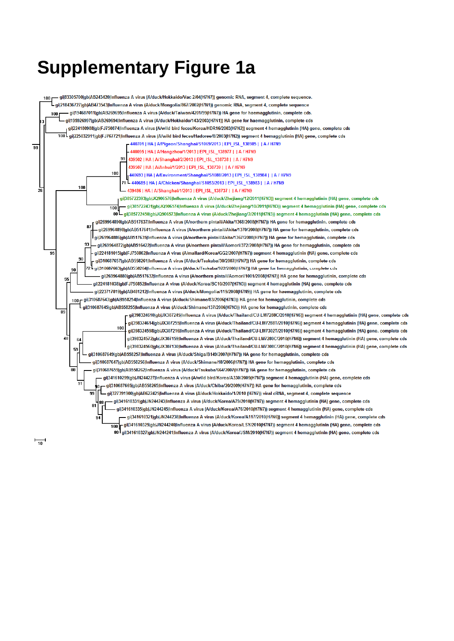#### **Supplementary Figure 1a**

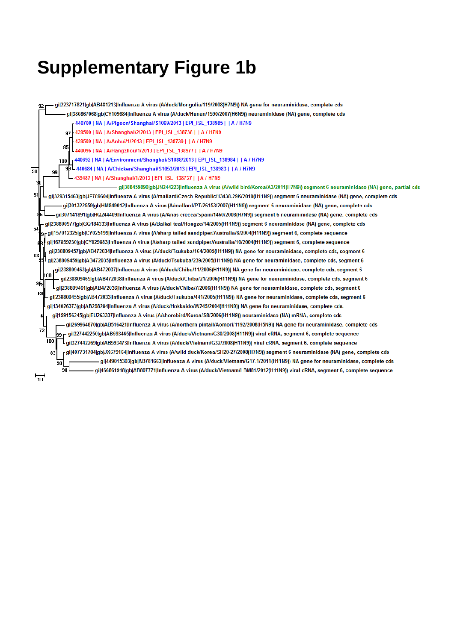# **Supplementary Figure 1b**

| gil223717821 gb AB481213 Influenza A virus (A/duck/Mongolia/119/2008(H7N9)) NA gene for neuraminidase, complete cds<br>92                         |
|---------------------------------------------------------------------------------------------------------------------------------------------------|
| gij380867068 qb CY109684 Influenza A virus (A/duck/Hunan/1590/2007(H6N9)) neuraminidase (NA) gene, complete cds                                   |
| 440700   NA   A/Pigeon/Shanghai/S1069/2013   EPI ISL 138985     A / H7N9                                                                          |
| 97   439500   NA   A/Shanghai/2/2013   EPI_ISL_138738     A / H7N9                                                                                |
| 439509   NA   A/Anhui/1/2013   EPI ISL 138739     A / H7N9                                                                                        |
| 85<br>440096   NA   A/Hangzhou/1/2013   EPI ISL 138977     A / H7N9                                                                               |
| [440692   NA   A/Environment/Shanghai/S1088/2013   EPI ISL 138984     A / H7N9<br>100                                                             |
| 90 - 440684   NA   A/Chicken/Shanghai/S1053/2013   EPI_ISL_138983     A / H7N9<br>$\overline{90}$<br>99                                           |
| -439487   NA   A/Shanghai/1/2013   EPI ISL 138737     A / H7N9                                                                                    |
| gij388459890 gb JN244223 Influenza A virus (A/wild bird/Korea/A3/2011(H7N9)) segment 6 neuraminidase (NA) gene, partial cds                       |
| 51<br>gij329315463 gb JF789604 Influenza A virus (A/mallard/Czech Republic/13438-29K/2010(H11N9)) segment 6 neuraminidase (NA) gene, complete cds |
| gij301322559jgb HM849012 Influenza A virus (A/mallard/PT/26153/2007(H11N9)) segment 6 neuraminidase (NA) gene, complete cds                       |
| gij307141891 gb HQ244409 Influenza A virus (A/Anas crecca/Spain/1460/2008(H7N9)) segment 6 neuraminidase (NA) gene, complete cds                  |
| gi 238800977 gb GQ184333 Influenza A virus (A/Baikal teal/Hongze/14/2005(H11N9)) segment 6 neuraminidase (NA) gene, complete cds<br>54            |
| gi 157012325 gb CY025199 Influenza A virus (A/sharp-tailed sandpiper/Australia/6/2004(H11N9)) segment 6, complete sequence                        |
| gil167859230 gb CY029883 Influenza A virus (A/sharp-tailed sandpiper/Australia/10/2004(H11N9)) segment 6, complete sequence                       |
| gi 238809457 gb AB472034 Influenza A virus (A/duck/Tsukuba/164/2005(H11N9)) NA gene for neuraminidase, complete cds, segment 6<br>66              |
| gil238809459 gb AB472035 Influenza A virus (A/duck/Tsukuba/239/2005(H11N9)) NA gene for neuraminidase, complete cds, segment 6                    |
| gil238809463 gb AB472037 Influenza A virus (A/duck/Chiba/11/2006(H11N9)) NA gene for neuraminidase, complete cds, segment 6                       |
| l þoo<br>gil238809465 gb AB472038 Influenza A virus (A/duck/Chiba/21/2006(H11N9)) NA gene for neuraminidase, complete cds, segment 6<br>995       |
| gil238809461 gb AB472036 Influenza A virus (A/duck/Chiba/7/2006(H11N9)) NA gene for neuraminidase, complete cds, segment 6                        |
| 68<br>gi 238809455 gb AB472033 Influenza A virus (A/duck/Tsukuba/441/2005(H11N9)) NA gene for neuraminidase, complete cds, segment 6              |
| gi 134026373 gb AB298284 Influenza A virus (A/duck/Hokkaido/W245/2004(H11N9)) NA gene for neuraminidase, complete cds.                            |
| - gi 159156245 gb EU263337 Influenza A virus (A/shorebird/Korea/S8/2006(H11N9)) neuraminidase (NA) mRNA, complete cds                             |
| gi 269964870 gb AB516421 Influenza A virus (A/northern pintail/Aomori/1192/2008(H5N9)) NA gene for neuraminidase, complete cds                    |
| 72<br>– gi 327442250 gb AB593465 Influenza A virus (A/duck/Vietnam/G30/2008(H11N9)) viral cRNA, segment 6, complete sequence                      |
| 100<br>gi 327442269 gb AB593473 Influenza A virus (A/duck/Vietnam/G32/2008(H11N9)) viral cRNA, segment 6, complete sequence                       |
| gi 407731704 gb JX679164 Influenza A virus (A/wild duck/Korea/SH20-27/2008(H7N9)) segment 6 neuraminidase (NA) gene, complete cds<br>83           |
| gil449015303 gb AB781663 Influenza A virus (A/duck/Vietnam/G17-1/2011(H11N9)) NA gene for neuraminidase, complete cds<br>98                       |
| 98<br>gil466861918 gb AB807771 Influenza A virus (A/duck/Vietnam/LBM81/2012(H11N9)) viral cRNA, segment 6, complete sequence                      |
| 10                                                                                                                                                |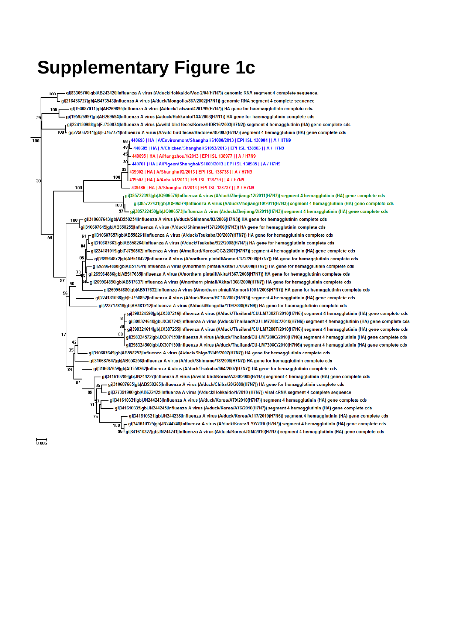## **Supplementary Figure 1c**

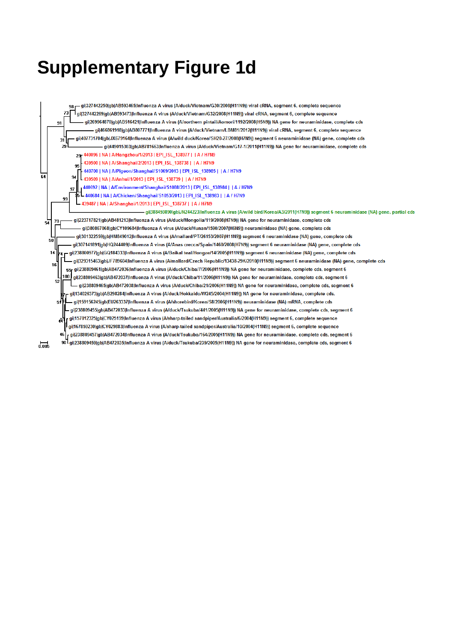#### **Supplementary Figure 1d**

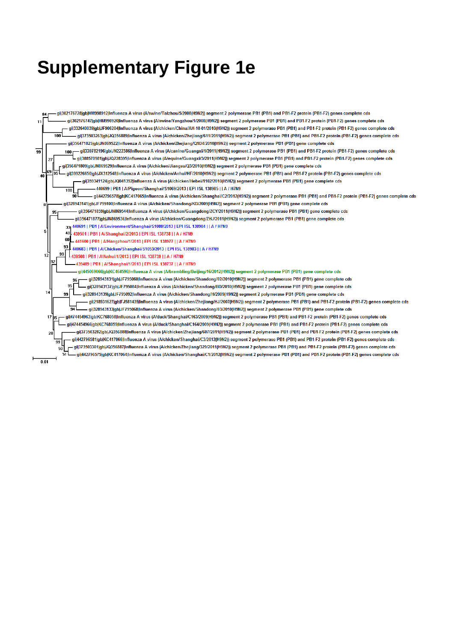#### **Supplementary Figure 1e**

.<br>gi|302176728|gb|HM998912|Influenza A virus (A/swine/Taizhou/5/2008(H9N2)) segment 2 polymerase PB1 (PB1) and PB1-F2 protein (PB1-F2) genes complete cds 84 .<br>gij302176747|gb|HM998920|Influenza A virus (A/swine/Yangzhou/1/2008(H9N2)) segment 2 polymerase PB1 (PB1) and PB1-F2 protein (PB1-F2) genes complete cds gij332640039|gb|JF906204|Influenza A virus (A/chicken/China/AH-10-01/2010(H9N2)) segment 2 polymerase PB1 (PB1) and PB1-F2 protein (PB1-F2) genes complete cds – gil373503263lqblJQ356889llnfluenza A virus (A/chicken/Zhejianq/611/2011(H9N2)) segment 2 polymerase PB1 (PB1) and PB1-F2 protein (PB1-F2) genes complete cds gi|356471825|gb|JN869522|Influenza A virus (A/chicken/Zhejiang/Q1D4/2010(H9N2)) segment 2 polymerase PB1 (PB1) gene complete cds  $\overline{99}$ - gil339782196lgblJN222386llnfluenza A virus (A/canine/Guangxi/1/2011(H9N2)) segment 2 polymerase PB1 (PB1) and PB1-F2 protein (PB1-F2) genes complete cds  $100<sub>1</sub>$ gij388570981|gb|JQ228395|Influenza A virus (A/equine/Guangxi/3/2011(H9N2)) segment 2 polymerase PB1 (PB1) and PB1-F2 protein (PB1-F2) genes complete cds gil356471809lgblJN869529lInfluenza A virus (A/chicken/Jiangsu/Q3/2010(H9N2)) segment 2 polymerase PB1 (PB1) gene complete cds gij399226650|gb|JX312548|Influenza A virus (A/chicken/Anhui/HF/2010(H9N2)) segment 2 polymerase PB1 (PB1) and PB1-F2 protein (PB1-F2) genes complete cds  $\overline{4}$ ail359341124lablJQ041392lInfluenza A virus (A/chicken/Hebei/1102/2010(H5N2)) seament 2 polymerase PB1 (PB1) gene complete cds 440699 | PB1 | A/Pigeon/Shanghai/S1069/2013 | EPI ISL 138985 | | A / H7N9  $\overline{100}$ gi|442796578|gb|KC417065|Influenza A virus (A/chicken/Shanghai/C2/2012(H9N2)) segment 2 polymerase PB1 (PB1) and PB1-F2 protein (PB1-F2) genes complete cds gi|328943141|gb|JF795100|Influenza A virus (A/chicken/Shandong/KD/2009(H9N2)) segment 2 polymerase PB1 (PB1) gene complete cds . gi|356471859|gb|JN869544|Influenza A virus (A/chicken/Guangdong/ZCY/2011(H9N2)) segment 2 polymerase PB1 (PB1) gene complete cds 95 gi|356471877|gb|JN869536|Influenza A virus (A/chicken/Guangdong/ZHJ/2011(H9N2)) segment 2 polymerase PB1 (PB1) gene complete cds 440691 | PB1 | A/Environment/Shanghai/S1088/2013 | EPI ISL 138984 | | A / H7N9 439501 | PB1 | A/Shanghai/2/2013 | EPI ISL 138738 | | A / H7N9 60 441600 | PB1 | A/Hangzhou/1/2013 | EPI ISL 138977 | | A / H7N9 93 440683 | PB1 | A/Chicken/Shanghai/S1053/2013 | EPI ISL 138983 | | A / H7N9 99 12 439508 | PB1 | A/Anhui/1/2013 | EPI ISL 138739 | | A / H7N9 439489 | PB1 | A/Shanghai/1/2013 | EPI ISL 138737 | | A / H7N9 gi|445069066|gb|KC464596|Influenza A virus (A/brambling/Beijing/16/2012(H9N2)) segment 2 polymerase PB1 (PB1) gene complete cds ail328943131labLJE795060llnfluenza A virus (A/chicken/Shandong/02/2010(H9N2)) segment 2 polymerase PB1 (PB1) gene complete cds. gi|328943137|gb|JF795084|Influenza A virus (A/chicken/Shandong/BD/2010(H9N2)) segment 2 polymerase PB1 (PB1) gene complete cds 95 14 . gi|328943139|gb|JF795092|Influenza A virus (A/chicken/Shandong/H/2009(H9N2)) segment 2 polymerase PB1 (PB1) gene complete cds 99 gi|218931627|gb|FJ581435|Influenza A virus (A/chicken/Zhejiang/HJ/2007(H9N2)) segment 2 polymerase PB1 (PB1) and PB1-F2 protein (PB1-F2) genes complete cds . gi|328943133|gb|JF795068|Influenza A virus (A/chicken/Shandong/03/2010(H9N2)) segment 2 polymerase PB1 (PB1) gene complete cds gij474454963|gb|KC768058|Influenza A virus (A/duck/Shanghai/C163/2009(H9N2)) segment 2 polymerase PB1 (PB1) and PB1-F2 protein (PB1-F2) genes complete cds  $\overline{1}$ gil474454966lgblKC768059lInfluenza A virus (A/duck/Shanghai/C164/2009(H9N2)) segment 2 polymerase PB1 (PB1) and PB1-F2 protein (PB1-F2) genes complete cds gij373503282|gb|JQ356888|Influenza A virus (A/chicken/Zhejiang/607/2011(H9N2)) segment 2 polymerase PB1 (PB1) and PB1-F2 protein (PB1-F2) genes complete cds gi|442796581|gb|KC417066|Influenza A virus (A/chicken/Shanghai/C3/2012(H9N2)) segment 2 polymerase PB1 (PB1) and PB1-F2 protein (PB1-F2) genes complete cds – gi|373503301|gb|JQ356887|Influenza A virus (A/chicken/Zhejiang/329/2011(H9N2)) segment 2 polymerase PB1 (PB1) and PB1-F2 protein (PB1-F2) genes complete cds – gi|442796575|gb|KC417064|Influenza A virus (A/chicken/Shanghai/C1/2012(H9N2)) segment 2 polymerase PB1 (PB1) and PB1-F2 protein (PB1-F2) genes complete cds  $\overline{0.01}$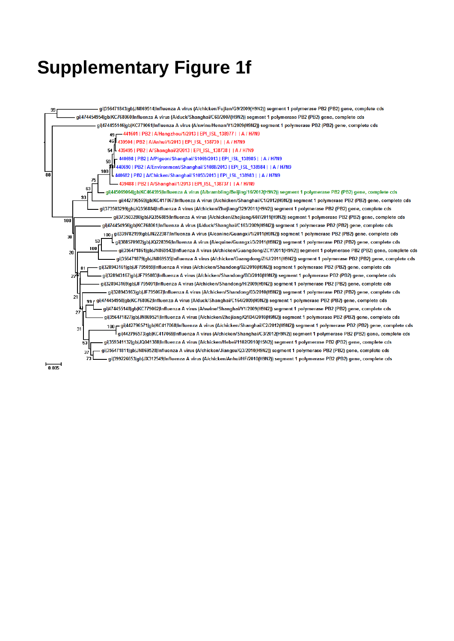#### **Supplementary Figure 1f**



 $\frac{1}{0.005}$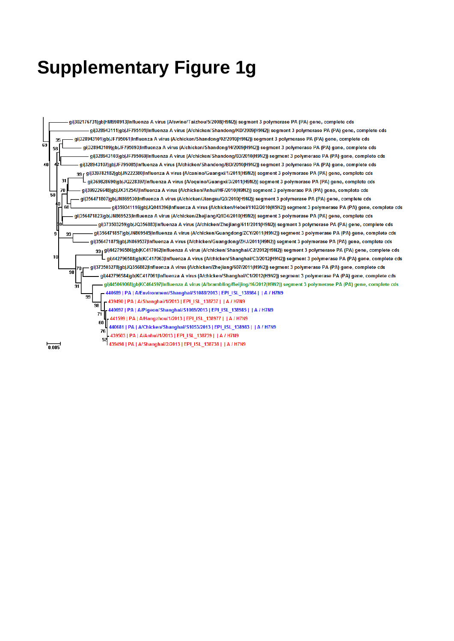## **Supplementary Figure 1g**

.<br>gi|302176731|gb|HM998913|Influenza A virus (A/swine/Taizhou/5/2008(H9N2)) segment 3 polymerase PA (PA) gene, complete cds gi|328943111|gb|JF795101|Influenza A virus (A/chicken/Shandong/KD/2009(H9N2)) segment 3 polymerase PA (PA) gene, complete cds gij328943101|gb|JF795061|Influenza A virus (A/chicken/Shandong/02/2010(H9N2)) segment 3 polymerase PA (PA) gene, complete cds  $2^{\mathsf{p}}$ Бg gij328943109jgbjJF795093jInfluenza A virus (A/chicken/Shandong/H/2009(H9N2)) segment 3 polymerase PA (PA) gene, complete cds 58 gij328943103|qb|JF795069|Influenza A virus (A/chicken/Shandong/03/2010(H9N2)) segment 3 polymerase PA (PA) gene, complete cds 40 gij328943107|gb|JF795085|Influenza A virus (A/chicken/Shandong/BD/2010(H9N2)) segment 3 polymerase PA (PA) gene, complete cds ggr gij339782182jgbjJN222380jInfluenza A virus (A/canine/Guangxi/1/2011(H9N2)) segment 3 polymerase PA (PA) gene, complete cds  $\overline{3}$ . gi|369828690|qb|JQ228397|Influenza A virus (A/equine/Guangxi/3/2011(H9N2)) segment 3 polymerase PA (PA) gene, complete cds  $\overline{a}$ gij399226648|gb|JX312547|Influenza A virus (A/chicken/Anhui/HF/2010(H9N2)) segment 3 polymerase PA (PA) gene, complete cds  $\overline{50}$ gij356471807|gb|JN869530|Influenza A virus (A/chicken/Jiangsu/Q3/2010(H9N2)) segment 3 polymerase PA (PA) gene, complete cds вō gij359341116|gb|JQ041396|Influenza A virus (A/chicken/Hebei/1102/2010(H5N2)) segment 3 polymerase PA (PA) gene, complete cds gij356471823jgbjJN869523jlnfluenza A virus (A/chicken/Zhejiang/Q1D4/2010(H9N2)) segment 3 polymerase PA (PA) gene, complete cds gij373503259jgbjJQ356883jlnfluenza A virus (A/chicken/Zhejiang/611/2011(H9N2)) segment 3 polymerase PA (PA) gene, complete cds gi|356471857|gb|JN869545|Influenza A virus (A/chicken/Guangdong/ZCY/2011(H9N2)) segment 3 polymerase PA (PA) gene, complete cds 9 99 gi|356471875|gb|JN869537|Influenza A virus (A/chicken/Guangdong/ZHJ/2011(H9N2)) segment 3 polymerase PA (PA) gene, complete cds gg gij442796586jgbjKC417062jInfluenza A virus (A/chicken/Shanghai/C2/2012(H9N2)) segment 3 polymerase PA (PA) gene, complete cds 10 L gi|442796588|gb|KC417063|Influenza A virus (A/chicken/Shanghai/C3/2012(H9N2)) segment 3 polymerase PA (PA) gene, complete cds gij373503278|gb|JQ356882|Influenza A virus (A/chicken/Zhejiang/607/2011(H9N2)) segment 3 polymerase PA (PA) gene, complete cds 98 gi|442796584|gb|KC417061|Influenza A virus (A/chicken/Shanghai/C1/2012(H9N2)) segment 3 polymerase PA (PA) gene, complete cds gi|445069068|gb|KC464597|Influenza A virus (A/brambling/Beijing/16/2012(H9N2)) segment 3 polymerase PA (PA) gene, complete cds ត្ 89 | PA | A/Environment/Shanghai/S1088/2013 | EPI\_ISL\_138984 | | A / H7N9 99 VShanghai/1/2013 | EPI ISL 138737 | | A / H7N9  $\overline{98}$ A/Pigeon/Shanghai/S1069/2013 | EPI\_ISL\_138985 | | A / H7N9 71 441599 | PA | A/Hangzhou/1/2013 | EPI\_ISL\_138977 | | A / H7N9 60 440681 | PA | A/Chicken/Shanghai/S1053/2013 | EPI\_ISL\_138983 | | A / H7N9 76 439503 | PA | A/Anhui/1/2013 | EPI ISL 138739 | | A / H7N9 52 439498 | PA | A/Shanghai/2/2013 | EPI\_ISL\_138738 | | A / H7N9

 $\frac{}{0.005}$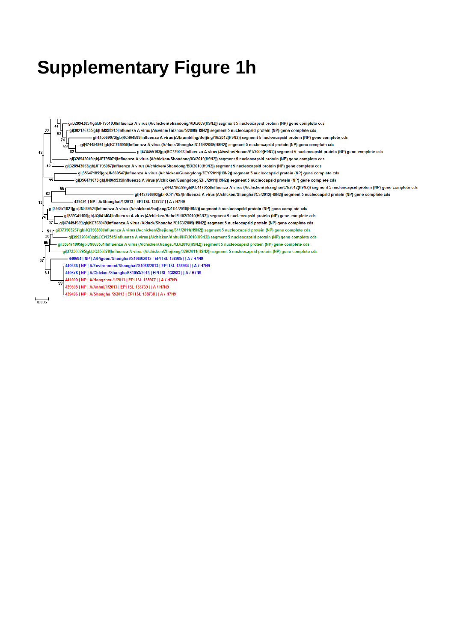### **Supplementary Figure 1h**

.<br>- gi|328943057|gb|JF795103|Influenza A virus (A/chicken/Shandong/KD/2009(H9N2)) segment 5 nucleocapsid protein (NP) gene complete cds gij302176735|gb|HM998915|Influenza A virus (A/swine/Taizhou/5/2008(H9N2)) segment 5 nucleocapsid protein (NP) gene complete cds .<br>– gi|445069072|gb|KC464599|Influenza A virus (A/brambling/Beijing/16/2012(H9N2)) segment 5 nucleocapsid protein (NP) gene complete cds gi|474454991|gb|KC768050|Influenza A virus (A/duck/Shanghai/C164/2009(H9N2)) segment 5 nucleocapsid protein (NP) gene complete cds  $69$ gi|474455168|gb|KC779053|Influenza A virus (A/swine/Henan/Y1/2009(H9N2)) segment 5 nucleocapsid protein (NP) gene complete cds  $42$ gi|328943049|gb|JF795071|Influenza A virus (A/chicken/Shandong/03/2010(H9N2)) segment 5 nucleocapsid protein (NP) gene complete cds - gil328943053|gblJF795087|Influenza A virus (A/chicken/Shandong/BD/2010(H9N2)) segment 5 nucleocapsid protein (NP) gene complete cds gi|356471855|gb|JN869547|Influenza A virus (A/chicken/Guangdong/ZCY/2011(H9N2)) segment 5 nucleocapsid protein (NP) gene complete cds gi|356471873|gb|JN869539|Influenza A virus (A/chicken/Guangdong/ZHJ/2011(H9N2)) segment 5 nucleocapsid protein (NP) gene complete cds – gil442796599lgb|KC417055|Influenza A virus (A/chicken/Shanghai/C1/2012(H9N2)) segment 5 nucleocapsid protein (NP) gene complete cds 62 gi|442796603|gb|KC417057|Influenza A virus (A/chicken/Shanghai/C3/2012(H9N2)) segment 5 nucleocapsid protein (NP) gene complete cds 439491 | NP | A/Shanghai/1/2013 | EPI ISL 138737 | | A / H7N9 .<br><sub>1</sub>gi|356471821|gb|JN869524|Influenza A virus (A/chicken/Zhejiang/Q1D4/2010(H9N2)) segment 5 nucleocapsid protein (NP) gene complete cds .<br>gi|359341100|gb|JQ041404|Influenza A virus (A/chicken/Hebei/1102/2010(H5N2)) segment 5 nucleocapsid protein (NP) gene complete cds .<br>gi|474454989|gb|KC768049|Influenza A virus (A/duck/Shanghai/C163/2009(H9N2)) segment 5 nucleocapsid protein (NP) gene complete cds gij373503257|gb|JQ356880|Influenza A virus (A/chicken/Zhejiang/611/2011(H9N2)) segment 5 nucleocapsid protein (NP) gene complete cds 36 gi|399226643|gb|JX312545|Influenza A virus (A/chicken/Anhui/HF/2010(H9N2)) segment 5 nucleocapsid protein (NP) gene complete cds 65 .<br>.gi|356471805|gb|JN869531|Influenza A virus (A/chicken/Jiangsu/Q3/2010(H9N2)) segment 5 nucleocapsid protein (NP) gene complete cds – gi|373503295|gb|JQ356878|Influenza A virus (A/chicken/Zhejiang/329/2011(H9N2)) segment 5 nucleocapsid protein (NP) gene complete cds 440694 | NP | A/Pigeon/Shanghai/S1069/2013 | EPI ISL 138985 | | A / H7N9  $\overline{2}$ 440686 | NP | A/Environment/Shanghai/S1088/2013 | EPI ISL 138984 | | A / H7N9 440678 | NP | A/Chicken/Shanghai/S1053/2013 | EPI ISL 138983 | | A / H7N9 441000 | NP | A/Hangzhou/1/2013 | EPI ISL 138977 | | A / H7N9 og 439505 | NP | A/Anhui/1/2013 | EPI ISL 138739 | | A / H7N9 439496 | NP | A/Shanghai/2/2013 | EPI ISL 138738 | | A / H7N9  $0.005$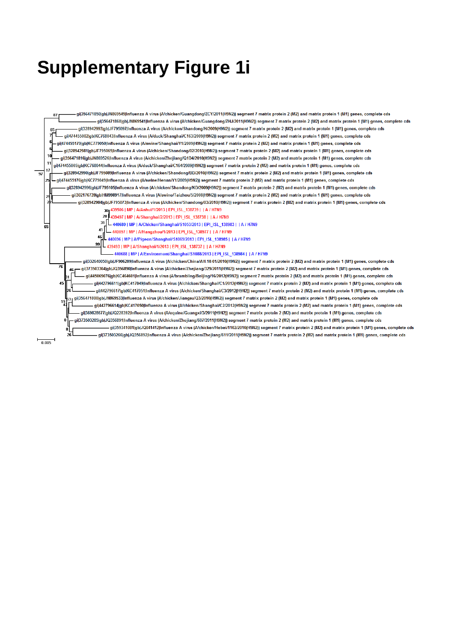#### **Supplementary Figure 1i**

gi|356471850|gb|JN869549|Influenza A virus (A/chicken/Guangdong/ZCY/2011(H9N2)) segment 7 matrix protein 2 (M2) and matrix protein 1 (M1) genes, complete cds 87 .<br>- gi|356471868|gb|JN869541|Influenza A virus (A/chicken/Guangdong/ZHJ/2011(H9N2)) segment 7 matrix protein 2 (M2) and matrix protein 1 (M1) genes, complete cds .<br>gi|328942993|gb|JF795097|Influenza A virus (A/chicken/Shandong/H/2009(H9N2)) segment 7 matrix protein 2 (M2) and matrix protein 1 (M1) genes, complete cds ail474455002lablKC768043llnfluenza A virus (A/duck/Shanghai/C163/2009/H9N2)) segment 7 matrix protein 2 (M2) and matrix protein 1 (M1) genes, complete cds gi|474455179|gb|KC779050|Influenza A virus (A/swine/Shanghai/Y1/2009(H9N2)) segment 7 matrix protein 2 (M2) and matrix protein 1 (M1) genes, complete cds ail328942981labIJF795065lInfluenza A virus (A/chicken/Shandong/02/2010(H9N2)) segment 7 matrix protein 2 (M2) and matrix protein 1 (M1) genes, complete cds .<br>gi|356471816|gb|JN869526|Influenza A virus (A/chicken/Zhejiang/Q1D4/2010(H9N2)) segment 7 matrix protein 2 (M2) and matrix protein 1 (M1) genes, complete cds  $\overline{11}$ qi|474455005|qb|KC768044|Influenza A virus (A/duck/Shanghai/C164/2009(H9N2)) segment 7 matrix protein 2 (M2) and matrix protein 1 (M1) genes, complete cds 17 gi|328942990|gb|JF795089|Influenza A virus (A/chicken/Shandong/BD/2010(H9N2)) segment 7 matrix protein 2 (M2) and matrix protein 1 (M1) genes, complete cds  $\overline{\mathbf{q}}$ .<br>-gi|474455176|gb|KC779049|Influenza A virus (A/swine/Henan/Y1/2009(H9N2)) segment 7 matrix protein 2 (M2) and matrix protein 1 (M1) genes, complete cds gij328942996|gb|JF795105|Influenza A virus (A/chicken/Shandong/KD/2009(H9N2)) segment 7 matrix protein 2 (M2) and matrix protein 1 (M1) genes, complete cds gi|302176739|gb|HM998917|Influenza A virus (A/swine/Taizhou/5/2008(H9N2)) segment 7 matrix protein 2 (M2) and matrix protein 1 (M1) genes, complete cds gij328942984|gb|JF795073|Influenza A virus (A/chicken/Shandong/03/2010(H9N2)) segment 7 matrix protein 2 (M2) and matrix protein 1 (M1) genes, complete cds 439506 | MP | A/Anhui/1/2013 | EPI\_ISL\_138739 | | A / H7N9 439497 | MP | A/Shanghai/2/2013 | FPI | SI | 138738 | | A / H7N9 31 |L 440680 | MP | A/Chicken/Shanghai/S1053/2013 | EPI\_ISL\_138983 | | A / H7N9  $41$ 440097 | MP | A/Hangzhou/1/2013 | EPI ISL 138977 | | A / H7N9  $99$ 439493 | MP | A/Shanghai/1/2013 | EPI\_ISL\_138737 | | A / H7N9 440688 | MP | A/Environment/Shanghai/S1088/2013 | EPI ISL 138984 | | A / H7N9 gi|332640050|gb|JF906209|Influenza A virus (A/chicken/China/AH-10-01/2010(H9N2)) segment 7 matrix protein 2 (M2) and matrix protein 1 (M1) genes, complete cds  $76$ . gi|373503304|gb|JQ356890|Influenza A virus (A/chicken/Zhejiang/329/2011(H9N2)) segment 7 matrix protein 2 (M2) and matrix protein 1 (M1) genes, complete cds gi|445069076|gb|KC464601|Influenza A virus (A/brambling/Beijing/16/2012(H9N2)) segment 7 matrix protein 2 (M2) and matrix protein 1 (M1) genes, complete cds . gil442796611lgblKC417049llgfluenza A virus (A/chicken/Shangbai/C1/2012/H9N2)) segment 7 matrix protein 2 (M2) and matrix protein 1 (M1) genes, complete cds 45 .<br>.gi|442796617|gb|KC417051|Influenza A virus (A/chicken/Shanghai/C3/2012(H9N2)) segment 7 matrix protein 2 (M2) and matrix protein 1 (M1) genes, complete cds gij356471800jqblJN869533jlnfluenza A virus (A/chicken/Jiangsu/Q3/2010(H9N2)) segment 7 matrix protein 2 (M2) and matrix protein 1 (M1) genes, complete cds  $^{19}$ gi|442796614|gb|KC417050|Influenza A virus (A/chicken/Shanghai/C2/2012(H9N2)) segment 7 matrix protein 2 (M2) and matrix protein 1 (M1) genes, complete cds gi|369828677|gb|JQ228392|Influenza A virus (A/equine/Guangxi/3/2011(H9N2)) segment 7 matrix protein 2 (M2) and matrix protein 1 (M1) genes, complete cds gi|373503285|gb|JQ356891|Influenza A virus (A/chicken/Zhejiang/607/2011(H9N2)) segment 7 matrix protein 2 (M2) and matrix protein 1 (M1) genes, complete cds – gi|359341081|gb|JQ041412|Influenza A virus (A/chicken/Hebei/1102/2010(H5N2)) segment 7 matrix protein 2 (M2) and matrix protein 1 (M1) genes, complete cds gi|373503266|gb|JQ356892|Influenza A virus (A/chicken/Zhejiang/611/2011(H9N2)) segment 7 matrix protein 2 (M2) and matrix protein 1 (M1) genes, complete cds  $0.005$